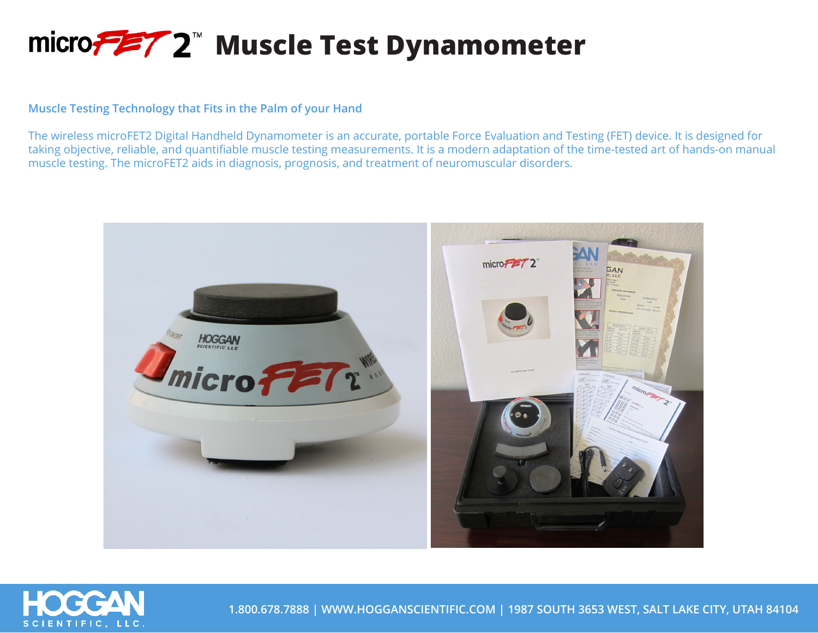## micro<del>テニ</del>ア2<sup>™</sup> Muscle Test Dynamometer

## **Muscle Testing Technology that Fits in the Palm of your Hand**

The wireless microFET2 Digital Handheld Dynamometer is an accurate, portable Force Evaluation and Testing (FET) device. It is designed for taking objective, reliable, and quantifiable muscle testing measurements. It is a modern adaptation of the time-tested art of hands-on manual muscle testing. The microFET2 aids in diagnosis, prognosis, and treatment of neuromuscular disorders.





**1.800.678.7888 | WWW.HOGGANSCIENTIFIC.COM | 1987 SOUTH 3653 WEST, SALT LAKE CITY, UTAH 84104**